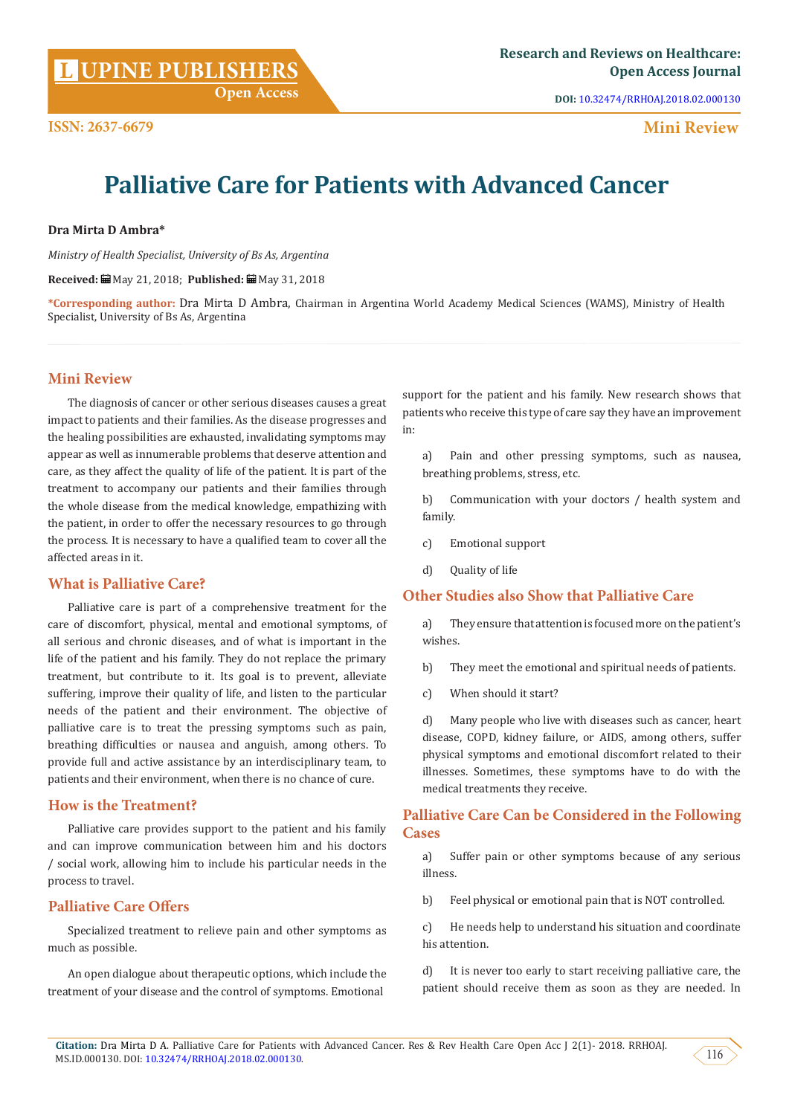**L**

**DOI:** [10.32474/RRHOAJ.2018.02.000130](http://dx.doi.org/10.32474/RRHOAJ.2018.02.000130)

 **Mini Review**

# **Palliative Care for Patients with Advanced Cancer**

#### **Dra Mirta D Ambra\***

*Ministry of Health Specialist, University of Bs As, Argentina*

**Received:** May 21, 2018; **Published:** May 31, 2018

**\*Corresponding author:** Dra Mirta D Ambra, Chairman in Argentina World Academy Medical Sciences (WAMS), Ministry of Health Specialist, University of Bs As, Argentina

### **Mini Review**

The diagnosis of cancer or other serious diseases causes a great impact to patients and their families. As the disease progresses and the healing possibilities are exhausted, invalidating symptoms may appear as well as innumerable problems that deserve attention and care, as they affect the quality of life of the patient. It is part of the treatment to accompany our patients and their families through the whole disease from the medical knowledge, empathizing with the patient, in order to offer the necessary resources to go through the process. It is necessary to have a qualified team to cover all the affected areas in it.

### **What is Palliative Care?**

Palliative care is part of a comprehensive treatment for the care of discomfort, physical, mental and emotional symptoms, of all serious and chronic diseases, and of what is important in the life of the patient and his family. They do not replace the primary treatment, but contribute to it. Its goal is to prevent, alleviate suffering, improve their quality of life, and listen to the particular needs of the patient and their environment. The objective of palliative care is to treat the pressing symptoms such as pain, breathing difficulties or nausea and anguish, among others. To provide full and active assistance by an interdisciplinary team, to patients and their environment, when there is no chance of cure.

#### **How is the Treatment?**

Palliative care provides support to the patient and his family and can improve communication between him and his doctors / social work, allowing him to include his particular needs in the process to travel.

## **Palliative Care Offers**

Specialized treatment to relieve pain and other symptoms as much as possible.

An open dialogue about therapeutic options, which include the treatment of your disease and the control of symptoms. Emotional

support for the patient and his family. New research shows that patients who receive this type of care say they have an improvement in:

a) Pain and other pressing symptoms, such as nausea, breathing problems, stress, etc.

b) Communication with your doctors / health system and family.

- c) Emotional support
- d) Quality of life

### **Other Studies also Show that Palliative Care**

a) They ensure that attention is focused more on the patient's wishes.

b) They meet the emotional and spiritual needs of patients.

c) When should it start?

d) Many people who live with diseases such as cancer, heart disease, COPD, kidney failure, or AIDS, among others, suffer physical symptoms and emotional discomfort related to their illnesses. Sometimes, these symptoms have to do with the medical treatments they receive.

# **Palliative Care Can be Considered in the Following Cases**

a) Suffer pain or other symptoms because of any serious illness.

b) Feel physical or emotional pain that is NOT controlled.

c) He needs help to understand his situation and coordinate his attention.

d) It is never too early to start receiving palliative care, the patient should receive them as soon as they are needed. In